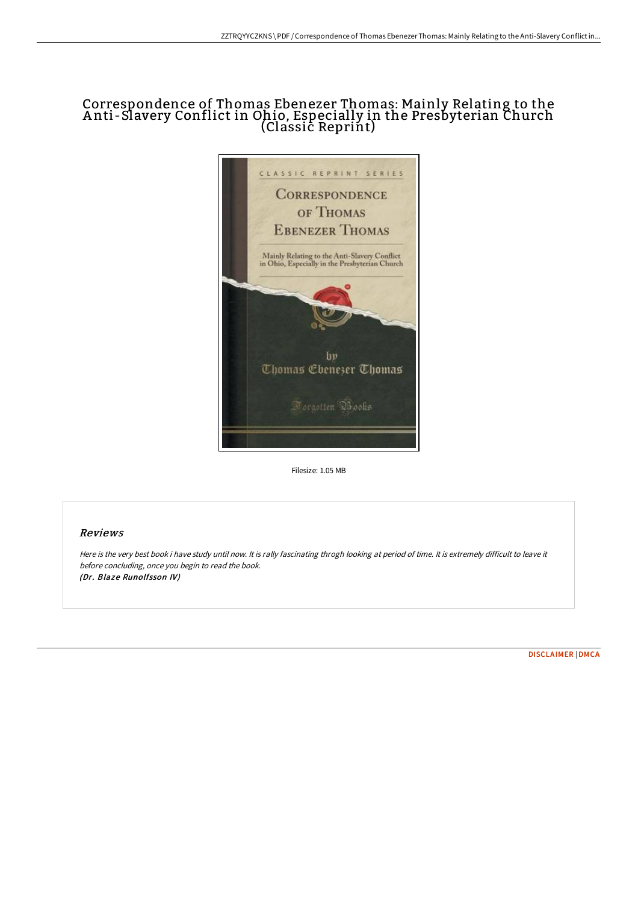# Correspondence of Thomas Ebenezer Thomas: Mainly Relating to the A nti-Slavery Conflict in Ohio, Especially in the Presbyterian Church (Classic Reprint)



Filesize: 1.05 MB

## Reviews

Here is the very best book i have study until now. It is rally fascinating throgh looking at period of time. It is extremely difficult to leave it before concluding, once you begin to read the book. (Dr. Blaze Runolfsson IV)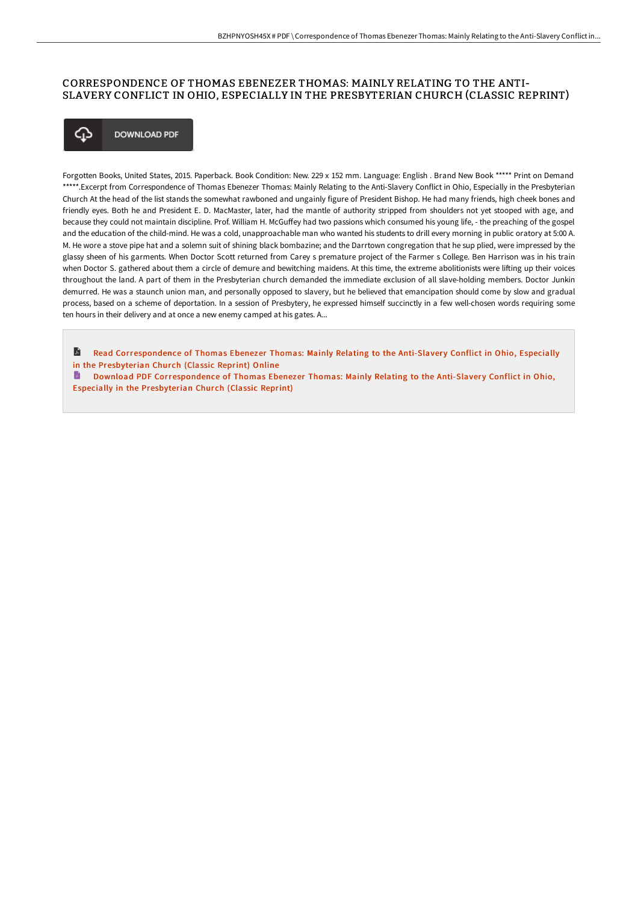## CORRESPONDENCE OF THOMAS EBENEZER THOMAS: MAINLY RELATING TO THE ANTI-SLAVERY CONFLICT IN OHIO, ESPECIALLY IN THE PRESBYTERIAN CHURCH (CLASSIC REPRINT)



Forgotten Books, United States, 2015. Paperback. Book Condition: New. 229 x 152 mm. Language: English . Brand New Book \*\*\*\*\* Print on Demand \*\*\*\*\*.Excerpt from Correspondence of Thomas Ebenezer Thomas: Mainly Relating to the Anti-Slavery Conflict in Ohio, Especially in the Presbyterian Church At the head of the list stands the somewhat rawboned and ungainly figure of President Bishop. He had many friends, high cheek bones and friendly eyes. Both he and President E. D. MacMaster, later, had the mantle of authority stripped from shoulders not yet stooped with age, and because they could not maintain discipline. Prof. William H. McGuffey had two passions which consumed his young life, - the preaching of the gospel and the education of the child-mind. He was a cold, unapproachable man who wanted his students to drill every morning in public oratory at 5:00 A. M. He wore a stove pipe hat and a solemn suit of shining black bombazine; and the Darrtown congregation that he sup plied, were impressed by the glassy sheen of his garments. When Doctor Scott returned from Carey s premature project of the Farmer s College. Ben Harrison was in his train when Doctor S. gathered about them a circle of demure and bewitching maidens. At this time, the extreme abolitionists were lifting up their voices throughout the land. A part of them in the Presbyterian church demanded the immediate exclusion of all slave-holding members. Doctor Junkin demurred. He was a staunch union man, and personally opposed to slavery, but he believed that emancipation should come by slow and gradual process, based on a scheme of deportation. In a session of Presbytery, he expressed himself succinctly in a few well-chosen words requiring some ten hours in their delivery and at once a new enemy camped at his gates. A...

R Read [Correspondence](http://techno-pub.tech/correspondence-of-thomas-ebenezer-thomas-mainly-.html) of Thomas Ebenezer Thomas: Mainly Relating to the Anti-Slavery Conflict in Ohio, Especially in the Presbyterian Church (Classic Reprint) Online

D. Download PDF [Correspondence](http://techno-pub.tech/correspondence-of-thomas-ebenezer-thomas-mainly-.html) of Thomas Ebenezer Thomas: Mainly Relating to the Anti-Slavery Conflict in Ohio, Especially in the Presbyterian Church (Classic Reprint)